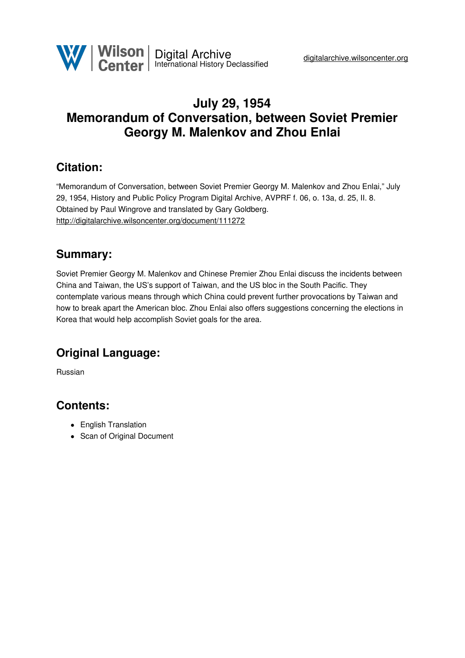

## **July 29, 1954 Memorandum of Conversation, between Soviet Premier Georgy M. Malenkov and Zhou Enlai**

### **Citation:**

"Memorandum of Conversation, between Soviet Premier Georgy M. Malenkov and Zhou Enlai," July 29, 1954, History and Public Policy Program Digital Archive, AVPRF f. 06, o. 13a, d. 25, II. 8. Obtained by Paul Wingrove and translated by Gary Goldberg. <http://digitalarchive.wilsoncenter.org/document/111272>

## **Summary:**

Soviet Premier Georgy M. Malenkov and Chinese Premier Zhou Enlai discuss the incidents between China and Taiwan, the US's support of Taiwan, and the US bloc in the South Pacific. They contemplate various means through which China could prevent further provocations by Taiwan and how to break apart the American bloc. Zhou Enlai also offers suggestions concerning the elections in Korea that would help accomplish Soviet goals for the area.

# **Original Language:**

Russian

### **Contents:**

- English Translation
- Scan of Original Document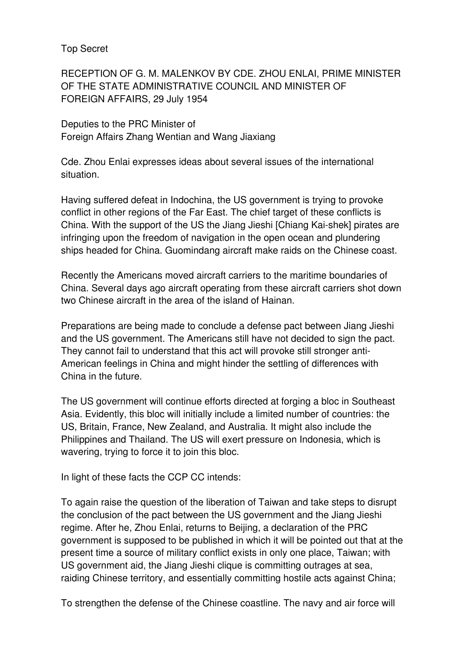Top Secret

RECEPTION OF G. M. MALENKOV BY CDE. ZHOU ENLAI, PRIME MINISTER OF THE STATE ADMINISTRATIVE COUNCIL AND MINISTER OF FOREIGN AFFAIRS, 29 July 1954

Deputies to the PRC Minister of Foreign Affairs Zhang Wentian and Wang Jiaxiang

Cde. Zhou Enlai expresses ideas about several issues of the international situation.

Having suffered defeat in Indochina, the US government is trying to provoke conflict in other regions of the Far East. The chief target of these conflicts is China. With the support of the US the Jiang Jieshi [Chiang Kai-shek] pirates are infringing upon the freedom of navigation in the open ocean and plundering ships headed for China. Guomindang aircraft make raids on the Chinese coast.

Recently the Americans moved aircraft carriers to the maritime boundaries of China. Several days ago aircraft operating from these aircraft carriers shot down two Chinese aircraft in the area of the island of Hainan.

Preparations are being made to conclude a defense pact between Jiang Jieshi and the US government. The Americans still have not decided to sign the pact. They cannot fail to understand that this act will provoke still stronger anti-American feelings in China and might hinder the settling of differences with China in the future.

The US government will continue efforts directed at forging a bloc in Southeast Asia. Evidently, this bloc will initially include a limited number of countries: the US, Britain, France, New Zealand, and Australia. It might also include the Philippines and Thailand. The US will exert pressure on Indonesia, which is wavering, trying to force it to join this bloc.

In light of these facts the CCP CC intends:

To again raise the question of the liberation of Taiwan and take steps to disrupt the conclusion of the pact between the US government and the Jiang Jieshi regime. After he, Zhou Enlai, returns to Beijing, a declaration of the PRC government is supposed to be published in which it will be pointed out that at the present time a source of military conflict exists in only one place, Taiwan; with US government aid, the Jiang Jieshi clique is committing outrages at sea, raiding Chinese territory, and essentially committing hostile acts against China;

To strengthen the defense of the Chinese coastline. The navy and air force will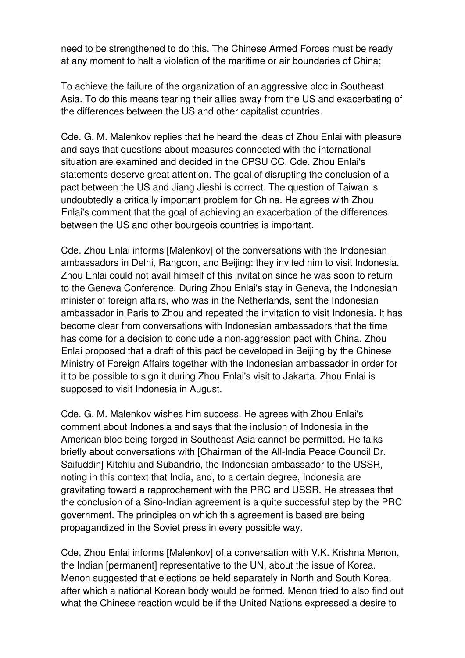need to be strengthened to do this. The Chinese Armed Forces must be ready at any moment to halt a violation of the maritime or air boundaries of China;

To achieve the failure of the organization of an aggressive bloc in Southeast Asia. To do this means tearing their allies away from the US and exacerbating of the differences between the US and other capitalist countries.

Cde. G. M. Malenkov replies that he heard the ideas of Zhou Enlai with pleasure and says that questions about measures connected with the international situation are examined and decided in the CPSU CC. Cde. Zhou Enlai's statements deserve great attention. The goal of disrupting the conclusion of a pact between the US and Jiang Jieshi is correct. The question of Taiwan is undoubtedly a critically important problem for China. He agrees with Zhou Enlai's comment that the goal of achieving an exacerbation of the differences between the US and other bourgeois countries is important.

Cde. Zhou Enlai informs [Malenkov] of the conversations with the Indonesian ambassadors in Delhi, Rangoon, and Beijing: they invited him to visit Indonesia. Zhou Enlai could not avail himself of this invitation since he was soon to return to the Geneva Conference. During Zhou Enlai's stay in Geneva, the Indonesian minister of foreign affairs, who was in the Netherlands, sent the Indonesian ambassador in Paris to Zhou and repeated the invitation to visit Indonesia. It has become clear from conversations with Indonesian ambassadors that the time has come for a decision to conclude a non-aggression pact with China. Zhou Enlai proposed that a draft of this pact be developed in Beijing by the Chinese Ministry of Foreign Affairs together with the Indonesian ambassador in order for it to be possible to sign it during Zhou Enlai's visit to Jakarta. Zhou Enlai is supposed to visit Indonesia in August.

Cde. G. M. Malenkov wishes him success. He agrees with Zhou Enlai's comment about Indonesia and says that the inclusion of Indonesia in the American bloc being forged in Southeast Asia cannot be permitted. He talks briefly about conversations with [Chairman of the All-India Peace Council Dr. Saifuddin] Kitchlu and Subandrio, the Indonesian ambassador to the USSR, noting in this context that India, and, to a certain degree, Indonesia are gravitating toward a rapprochement with the PRC and USSR. He stresses that the conclusion of a Sino-Indian agreement is a quite successful step by the PRC government. The principles on which this agreement is based are being propagandized in the Soviet press in every possible way.

Cde. Zhou Enlai informs [Malenkov] of a conversation with V.K. Krishna Menon, the Indian [permanent] representative to the UN, about the issue of Korea. Menon suggested that elections be held separately in North and South Korea, after which a national Korean body would be formed. Menon tried to also find out what the Chinese reaction would be if the United Nations expressed a desire to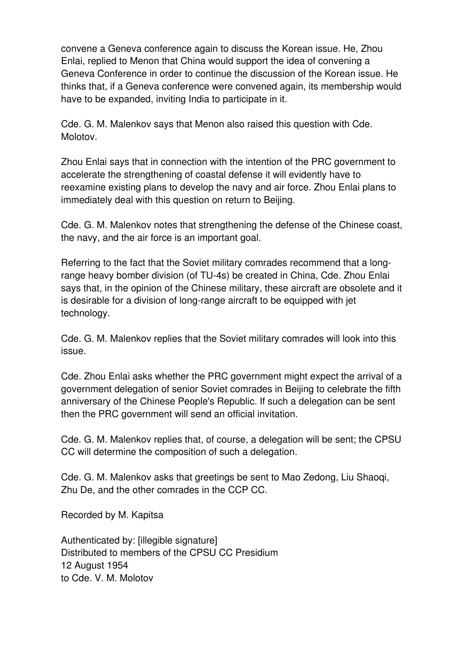convene a Geneva conference again to discuss the Korean issue. He, Zhou Enlai, replied to Menon that China would support the idea of convening a Geneva Conference in order to continue the discussion of the Korean issue. He thinks that, if a Geneva conference were convened again, its membership would have to be expanded, inviting India to participate in it.

Cde. G. M. Malenkov says that Menon also raised this question with Cde. Molotov.

Zhou Enlai says that in connection with the intention of the PRC government to accelerate the strengthening of coastal defense it will evidently have to reexamine existing plans to develop the navy and air force. Zhou Enlai plans to immediately deal with this question on return to Beijing.

Cde. G. M. Malenkov notes that strengthening the defense of the Chinese coast, the navy, and the air force is an important goal.

Referring to the fact that the Soviet military comrades recommend that a longrange heavy bomber division (of TU-4s) be created in China, Cde. Zhou Enlai says that, in the opinion of the Chinese military, these aircraft are obsolete and it is desirable for a division of long-range aircraft to be equipped with jet technology.

Cde. G. M. Malenkov replies that the Soviet military comrades will look into this issue.

Cde. Zhou Enlai asks whether the PRC government might expect the arrival of a government delegation of senior Soviet comrades in Beijing to celebrate the fifth anniversary of the Chinese People's Republic. If such a delegation can be sent then the PRC government will send an official invitation.

Cde. G. M. Malenkov replies that, of course, a delegation will be sent; the CPSU CC will determine the composition of such a delegation.

Cde. G. M. Malenkov asks that greetings be sent to Mao Zedong, Liu Shaoqi, Zhu De, and the other comrades in the CCP CC.

Recorded by M. Kapitsa

Authenticated by: [illegible signature] Distributed to members of the CPSU CC Presidium 12 August 1954 to Cde. V. M. Molotov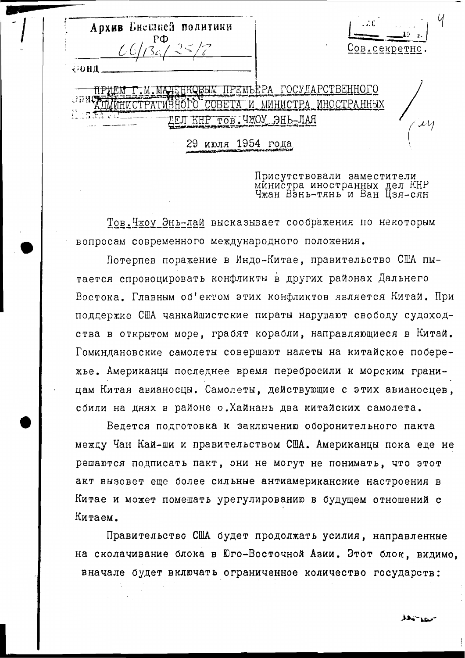Архив Енешней политики ов секретно 00нд ЕНКОВЫМ ПРЕМЬЕРА ГОСУЛАРСТВЕННОГО .M.MAI COBETA M MMHMCTPA HMCTPATMBHÓPÓ ИНОСТРАННЫХ ДЕЛ КНР тов.ЧЖОУ ЭНЬ-ЛАЯ 29 июля 1954 года

Присутствовали заместители министра иностранных дел КНР<br>Чжан Вэнь-тянь и Ван Цзя-сян

Тов. Чжоу Энь-лай высказывает соображения по некоторым вопросам современного международного положения.

Потерпев поражение в Индо-Китае, правительство США пытается спровоцировать конфликты в других районах Дальнего Востока. Главным об'ектом этих конфликтов является Китай. При поддержке США чанкайшистские пираты нарушают свободу судоходства в открытом море, грабят корабли, направляющиеся в Китай. Гоминдановские самолеты совершают налеты на китайское побережье. Американцы последнее время перебросили к морским границам Китая авианосцы. Самолеты, действующие с этих авианосцев. сбили на днях в районе о. Хайнань два китайских самолета.

Ведется подготовка к заключению оборонительного пакта между Чан Кай-ши и правительством США. Американцы пока еще не решаются подписать пакт, они не могут не понимать, что этот акт вызовет еще более сильные антиамериканские настроения в Китае и может помешать урегулированию в будущем отношений с Китаем.

Правительство США будет продолжать усилия, направленные на сколачивание блока в Юго-Восточной Азии. Этот блок, видимо, вначале будет включать ограниченное количество государств: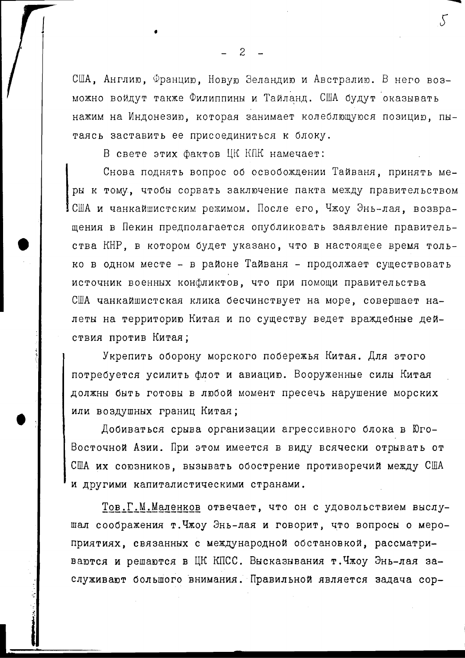США, Англию, Францию, Новую Зеландию и Австралию. В него возможно войдут также Филиппины и Тайланд. США будут оказывать нажим на Индонезию, которая занимает колеблющуюся позицию, пытаясь заставить ее присоединиться к блоку.

В свете этих фактов ЦК КПК намечает:

Снова поднять вопрос об освобождении Тайваня, принять меры к тому, чтобы сорвать заключение пакта между правительством США и чанкайшистским режимом. После его, Чжоу Энь-лая, возвращения в Пекин предполагается опубликовать заявление правительства КНР, в котором будет указано, что в настоящее время только в одном месте - в районе Тайваня - продолжает существовать источник военных конфликтов, что при помощи правительства США чанкайшистская клика бесчинствует на море, совершает налеты на территорию Китая и по существу ведет враждебные действия против Китая;

Укрепить оборону морского побережья Китая. Для этого потребуется усилить флот и авиацию. Вооруженные силы Китая должны быть готовы в любой момент пресечь нарушение морских или воздушных границ Китая;

Добиваться срыва организации агрессивного блока в Юго-Восточной Азии. При этом имеется в виду всячески отрывать от США их союзников, вызывать обострение противоречий между США и другими капиталистическими странами.

Тов.Г.М.Маленков отвечает, что он с удовольствием выслушал соображения т. Чжоу Энь-лая и говорит, что вопросы о мероприятиях, связанных с международной обстановкой, рассматриваются и решаются в ЦК КПСС. Высказывания т. Чжоу Энь-лая заслуживают большого внимания. Правильной является задача сор-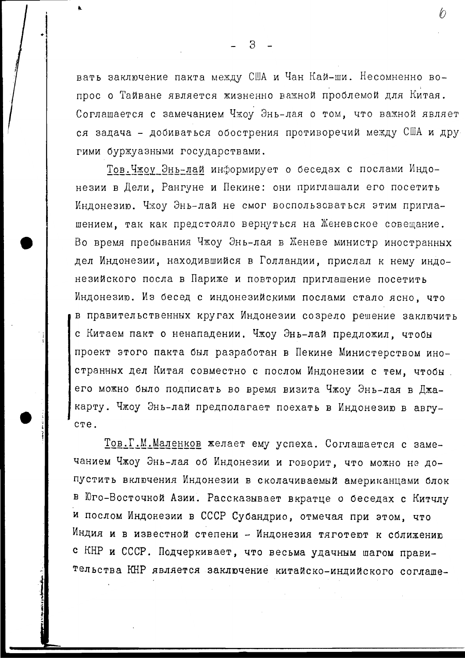вать заключение пакта между США и Чан Кай-ши. Несомненно вопрос о Тайване является жизненно важной проблемой для Китая. Соглашается с замечанием Чжоу Энь-лая о том, что важной являет ся задача - добиваться обострения противоречий между США и другими буржуазными государствами.

Тов. Чжоу Энь-лай информирует о беседах с послами Индонезии в Дели, Рангуне и Пекине: они приглашали его посетить Индонезию. Чжоу Энь-лай не смог воспользоваться этим приглашением, так как предстояло вернуться на Женевское совещание. Во время пребывания Чжоу Энь-лая в Женеве министр иностранных дел Индонезии, находившийся в Голландии, прислал к нему индонезийского посла в Париже и повторил приглашение посетить Индонезию. Из бесед с индонезийскими послами стало ясно, что в правительственных кругах Индонезии созрело решение заключить с Китаем пакт о ненападении. Чжоу Энь-лай предложил, чтобы проект этого пакта был разработан в Пекине Министерством иностранных дел Китая совместно с послом Индонезии с тем, чтобы его можно было подписать во время визита Чжоу Энь-лая в Джакарту. Чжоу Энь-лай предполагает поехать в Индонезию в авгуcre.

Тов. Г. М. Маленков желает ему успеха. Соглашается с замечанием Чжоу Энь-лая об Индонезии и говорит, что можно не допустить включения Индонезии в сколачиваемый американцами блок в Юго-Восточной Азии. Рассказывает вкратце о беседах с Китчлу и послом Индонезии в СССР Субандрио, отмечая при этом, что Индия и в известной степени - Индонезия тяготеют к солижению с КНР и СССР. Подчеркивает, что весьма удачным шагом правительства КНР является заключение китайско-индийского соглаше-

 $\mathcal{B}$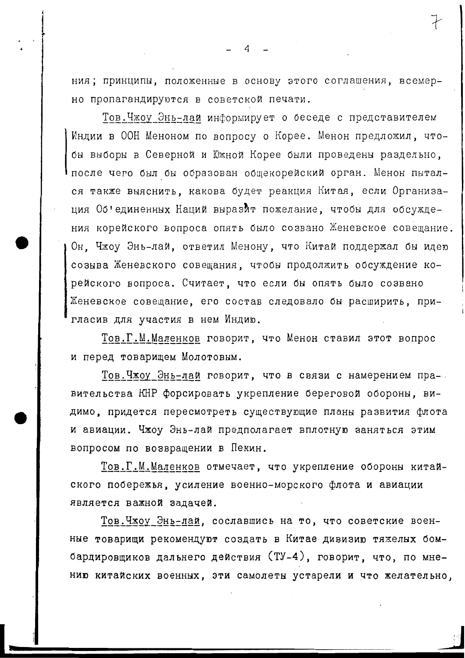ния; принципы, положенные в основу этого соглашения, всемерно пропагандируются в советской печати.

Тов.Чжоу Энь-лай информирует о беседе с представителем Индии в ООН Меноном по вопросу о Корее. Менон предложил, чтобы выборы в Северной и Южной Корее были проведены раздельно. после чего был бы образован общекорейский орган. Менон пытался также выяснить, какова будет реакция Китая, если Организация Об'единенных Наций выразит пожелание, чтобы для обсуждения корейского вопроса опять было созвано Женевское совещание. Он. Чжоу Энь-лай, ответил Менону, что Китай поддержал бы идею созыва Женевского совещания, чтобы продолжить обсуждение корейского вопроса. Считает, что если бы опять было созвано Женевское совещание, его состав следовало бы расширить, пригласив для участия в нем Индию.

Тов.Г.М.Маленков говорит, что Менон ставил этот вопрос и перед товарищем Молотовым.

Тов. Чжоу Энь-лай говорит, что в связи с намерением правительства КНР форсировать укрепление береговой обороны, видимо, придется пересмотреть существующие планы развития флота и авиации. Чжоу Энь-лай предполагает вплотную заняться этим вопросом по возвращении в Пекин.

Тов.Г.М.Маленков отмечает, что укрепление обороны китайского побережья, усиление военно-морского флота и авиации является важной задачей.

Тов. Чжоу Энь-лай, сославшись на то, что советские военные товарищи рекомендуют создать в Китае дивизию тяжелых бомбардировщиков дальнего действия (ТУ-4), говорит, что, по мнению китайских военных, эти самолеты устарели и что желательно,